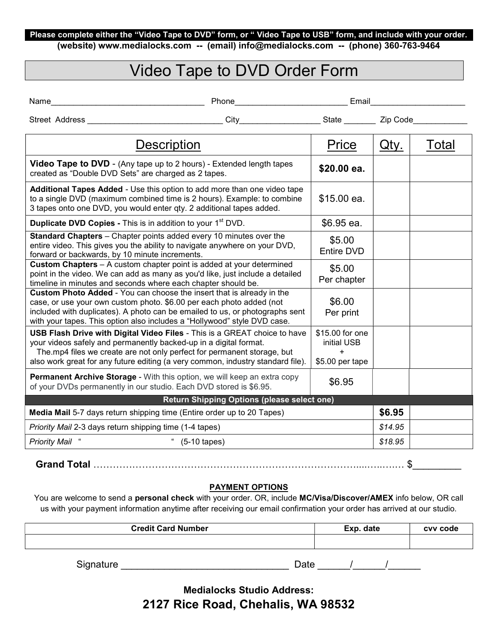## Please complete either the "Video Tape to DVD" form, or " Video Tape to USB" form, and include with your order.

(website) www.medialocks.com -- (email) info@medialocks.com -- (phone) 360-763-9464

# Video Tape to DVD Order Form

|  | Name |  |
|--|------|--|
|  |      |  |

Name<sub>1</sub> Phone **Phone Email** 

Street Address \_\_\_\_\_\_\_\_\_\_\_\_\_\_\_\_\_\_\_\_\_\_\_\_\_\_\_\_\_\_ City\_\_\_\_\_\_\_\_\_\_\_\_\_\_\_\_\_\_ State \_\_\_\_\_\_\_ Zip Code\_\_\_\_\_\_\_\_\_\_\_\_

| Video Tape to DVD - (Any tape up to 2 hours) - Extended length tapes<br>\$20.00 ea.<br>created as "Double DVD Sets" are charged as 2 tapes.                                                                                                                                                                                                                                    |  |
|--------------------------------------------------------------------------------------------------------------------------------------------------------------------------------------------------------------------------------------------------------------------------------------------------------------------------------------------------------------------------------|--|
| <b>Additional Tapes Added - Use this option to add more than one video tape</b><br>\$15.00 ea.<br>to a single DVD (maximum combined time is 2 hours). Example: to combine<br>3 tapes onto one DVD, you would enter qty. 2 additional tapes added.                                                                                                                              |  |
| Duplicate DVD Copies - This is in addition to your 1 <sup>st</sup> DVD.<br>\$6.95 ea.                                                                                                                                                                                                                                                                                          |  |
| <b>Standard Chapters</b> – Chapter points added every 10 minutes over the<br>\$5.00<br>entire video. This gives you the ability to navigate anywhere on your DVD,<br>Entire DVD<br>forward or backwards, by 10 minute increments.                                                                                                                                              |  |
| <b>Custom Chapters</b> - A custom chapter point is added at your determined<br>\$5.00<br>point in the video. We can add as many as you'd like, just include a detailed<br>Per chapter<br>timeline in minutes and seconds where each chapter should be.                                                                                                                         |  |
| <b>Custom Photo Added - You can choose the insert that is already in the</b><br>\$6.00<br>case, or use your own custom photo. \$6.00 per each photo added (not<br>included with duplicates). A photo can be emailed to us, or photographs sent<br>Per print<br>with your tapes. This option also includes a "Hollywood" style DVD case.                                        |  |
| \$15.00 for one<br>USB Flash Drive with Digital Video Files - This is a GREAT choice to have<br>your videos safely and permanently backed-up in a digital format.<br>initial USB<br>The mp4 files we create are not only perfect for permanent storage, but<br>$\ddot{}$<br>also work great for any future editing (a very common, industry standard file).<br>\$5.00 per tape |  |
| <b>Permanent Archive Storage</b> - With this option, we will keep an extra copy<br>\$6.95<br>of your DVDs permanently in our studio. Each DVD stored is \$6.95.                                                                                                                                                                                                                |  |
| Return Shipping Options (please select one)                                                                                                                                                                                                                                                                                                                                    |  |
| \$6.95<br>Media Mail 5-7 days return shipping time (Entire order up to 20 Tapes)                                                                                                                                                                                                                                                                                               |  |
| \$14.95<br>Priority Mail 2-3 days return shipping time (1-4 tapes)                                                                                                                                                                                                                                                                                                             |  |
| <b>Priority Mail</b><br>\$18.95<br>$(5-10$ tapes)                                                                                                                                                                                                                                                                                                                              |  |

Grand Total ………………………………………………………………………....…..….… \$\_\_\_\_\_\_\_\_\_

## PAYMENT OPTIONS

You are welcome to send a personal check with your order. OR, include MC/Visa/Discover/AMEX info below, OR call us with your payment information anytime after receiving our email confirmation your order has arrived at our studio.

| <b>Credit Card Number</b> |      | Exp. date | cvv code |
|---------------------------|------|-----------|----------|
|                           |      |           |          |
|                           |      |           |          |
| Signature                 | Date |           |          |

Medialocks Studio Address: 2127 Rice Road, Chehalis, WA 98532